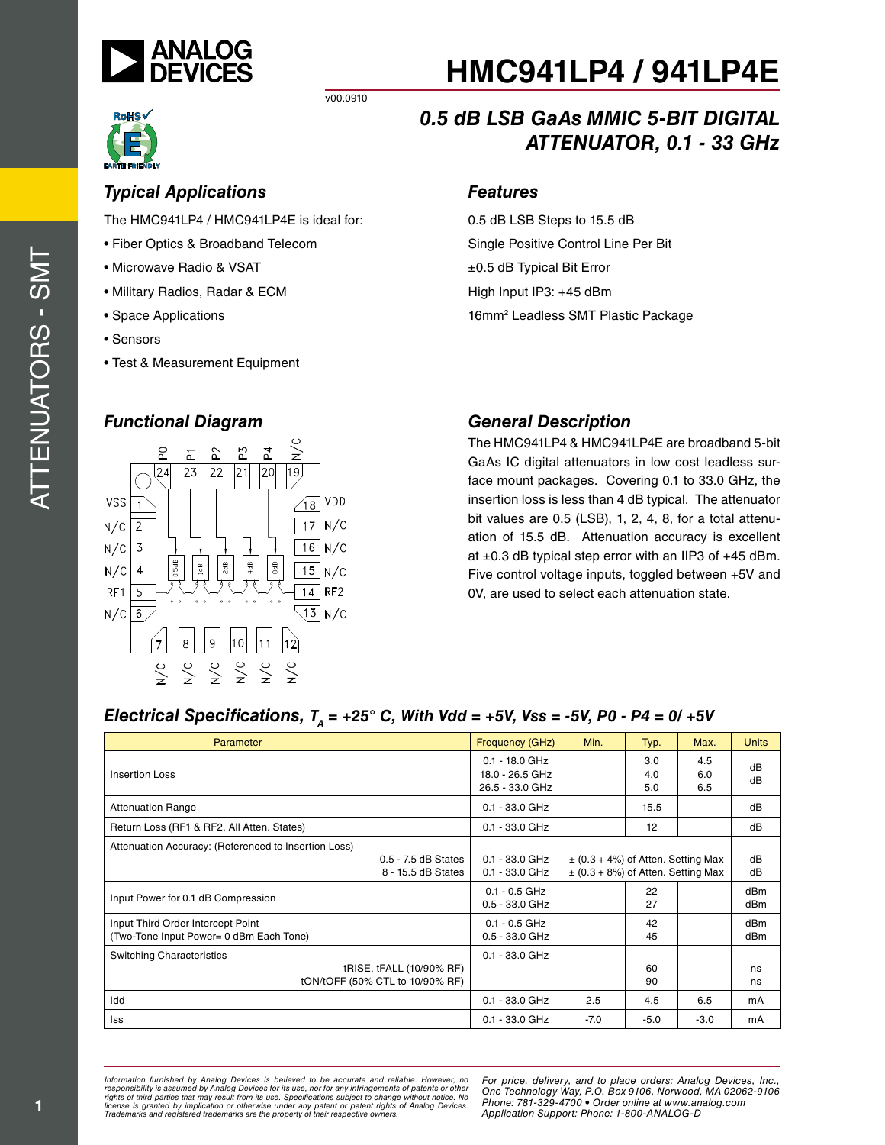

## *Typical Applications*

The HMC941LP4 / HMC941LP4E is ideal for:

v00.0910

- Fiber Optics & Broadband Telecom
- Microwave Radio & VSAT
- Military Radios, Radar & ECM
- Space Applications
- Sensors
- Test & Measurement Equipment

### *Functional Diagram*



# *0.5 dB LSB GaAs MMIC 5-BIT DIGITAL ATTENUATOR, 0.1 - 33 GHz*

### *Features*

0.5 dB LSB Steps to 15.5 dB Single Positive Control Line Per Bit ±0.5 dB Typical Bit Error High Input IP3: +45 dBm 16mm<sup>2</sup> Leadless SMT Plastic Package

## *General Description*

The HMC941LP4 & HMC941LP4E are broadband 5-bit GaAs IC digital attenuators in low cost leadless surface mount packages. Covering 0.1 to 33.0 GHz, the insertion loss is less than 4 dB typical. The attenuator bit values are 0.5 (LSB), 1, 2, 4, 8, for a total attenuation of 15.5 dB. Attenuation accuracy is excellent at  $\pm 0.3$  dB typical step error with an IIP3 of  $+45$  dBm. Five control voltage inputs, toggled between +5V and 0V, are used to select each attenuation state.

### *Electrical Specifications,*  $T_A = +25^\circ$  *C, With Vdd = +5V, Vss = -5V, P0 - P4 = 0/ +5V*

| Parameter                                                                                         | Frequency (GHz)                                        | Min.                                                                             | Typ.              | Max.              | <b>Units</b>           |
|---------------------------------------------------------------------------------------------------|--------------------------------------------------------|----------------------------------------------------------------------------------|-------------------|-------------------|------------------------|
| <b>Insertion Loss</b>                                                                             | $0.1 - 18.0$ GHz<br>18.0 - 26.5 GHz<br>26.5 - 33.0 GHz |                                                                                  | 3.0<br>4.0<br>5.0 | 4.5<br>6.0<br>6.5 | dB<br>dB               |
| <b>Attenuation Range</b>                                                                          | $0.1 - 33.0$ GHz                                       |                                                                                  | 15.5              |                   | dB                     |
| Return Loss (RF1 & RF2, All Atten. States)                                                        | $0.1 - 33.0$ GHz                                       |                                                                                  | 12                |                   | dB                     |
| Attenuation Accuracy: (Referenced to Insertion Loss)<br>0.5 - 7.5 dB States<br>8 - 15.5 dB States | $0.1 - 33.0$ GHz<br>$0.1 - 33.0$ GHz                   | $\pm$ (0.3 + 4%) of Atten. Setting Max<br>$\pm$ (0.3 + 8%) of Atten. Setting Max |                   |                   | dB<br>dB               |
| Input Power for 0.1 dB Compression                                                                | $0.1 - 0.5$ GHz<br>$0.5 - 33.0$ GHz                    |                                                                                  | 22<br>27          |                   | dB <sub>m</sub><br>dBm |
| Input Third Order Intercept Point<br>(Two-Tone Input Power= 0 dBm Each Tone)                      | $0.1 - 0.5$ GHz<br>$0.5 - 33.0$ GHz                    |                                                                                  | 42<br>45          |                   | dBm<br>dBm             |
| <b>Switching Characteristics</b><br>tRISE, tFALL (10/90% RF)<br>tON/tOFF (50% CTL to 10/90% RF)   | $0.1 - 33.0$ GHz                                       |                                                                                  | 60<br>90          |                   | ns<br>ns               |
| Idd                                                                                               | $0.1 - 33.0$ GHz                                       | 2.5                                                                              | 4.5               | 6.5               | mA                     |
| lss                                                                                               | 0.1 - 33.0 GHz                                         | $-7.0$                                                                           | $-5.0$            | $-3.0$            | mA                     |

*Formation iurnished by Analog Devices is believed to be accurate and reliable. However, no Hor price, delivery, and to place orders: Analog Devices, In<br>roonsibility is assumed by Analog Devices for its use, nor for any pressult from its use. Specifications subject to change without notice. No*<br>ation or otherwise under any patent or patent rights of Analog Devices Phone: 781-329-4700 • Order online at ww *e* the property of their respective owners. **Application Support: Phone: 1-8** *Information furnished by Analog Devices is believed to be accurate and reliable. However, no*  responsibility is assumed by Analog Devices for its use, nor for any infringements of patents or other<br>rights of third parties that may result from its use. Specifications subject to change without notice. No<br>license is gr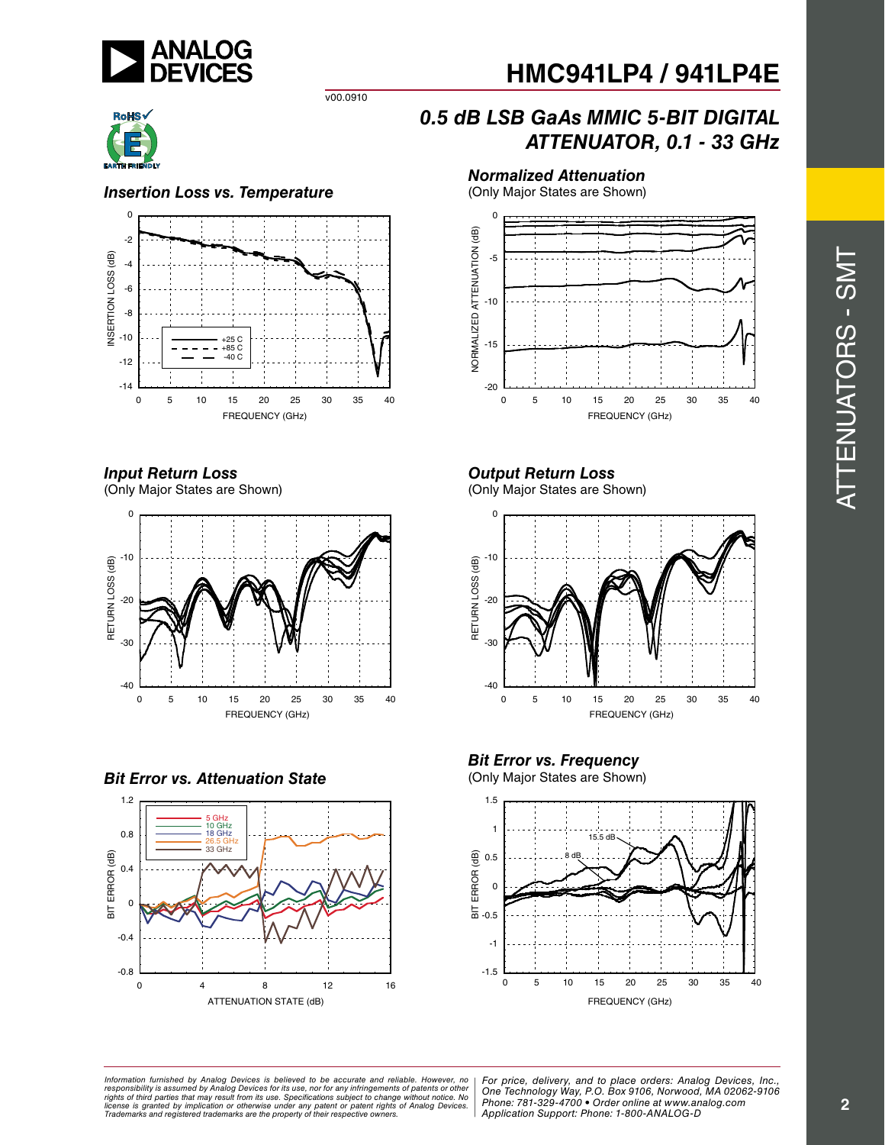



v00.0910

### *Insertion Loss vs. Temperature*



### *Input Return Loss*

(Only Major States are Shown)



*Bit Error vs. Attenuation State* 



# *0.5 dB LSB GaAs MMIC 5-BIT DIGITAL ATTENUATOR, 0.1 - 33 GHz*

### *Normalized Attenuation*

(Only Major States are Shown)



## *Output Return Loss*

(Only Major States are Shown)



# **Bit Error vs. Frequency**<br>(Only Major States are Shown)



*Formation iurnished by Analog Devices is believed to be accurate and reliable. However, no Hor price, delivery, and to place orders: Analog Devices, In<br>roonsibility is assumed by Analog Devices for its use, nor for any pressult from its use. Specifications subject to change without notice. No*<br>ation or otherwise under any patent or patent rights of Analog Devices Phone: 781-329-4700 • Order online at ww *e* the property of their respective owners. **Application Support: Phone: 1-8** Information furnished by Analog Devices is believed to be accurate and reliable. However, no<br>responsibility is assumed by Analog Devices for its use, nor for any infringements of patents or other<br>rights of third parties th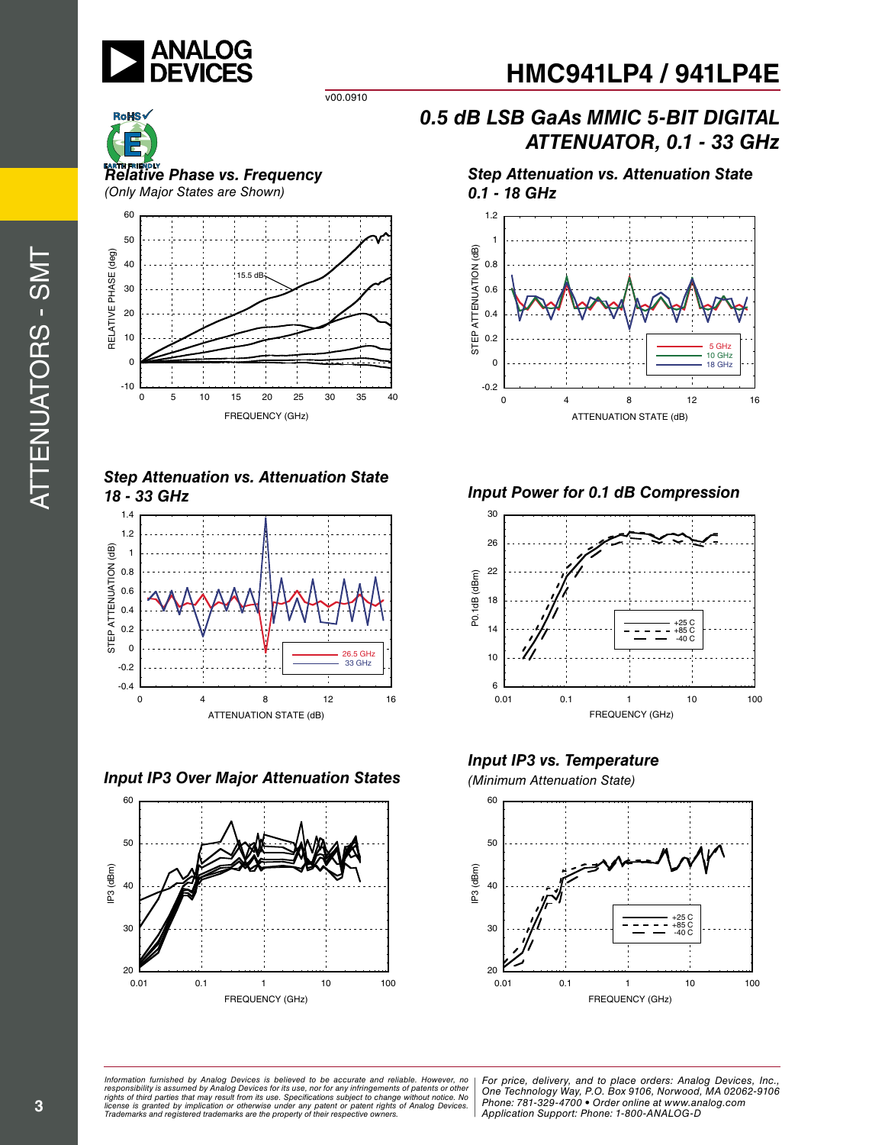

v00.0910



*Relative Phase vs. Frequency (Only Major States are Shown)*



*Step Attenuation vs. Attenuation State 18 - 33 GHz*



*Input IP3 Over Major Attenuation States (Minimum Attenuation State)*



# *0.5 dB LSB GaAs MMIC 5-BIT DIGITAL ATTENUATOR, 0.1 - 33 GHz*

*Step Attenuation vs. Attenuation State 0.1 - 18 GHz*



*Input Power for 0.1 dB Compression*



*Input IP3 vs. Temperature*



ormation furnished by Analog Devices is believed to be accurate and reliable. However, no | For price, delivery, and to place orders: Analog Devices, Inc.,<br>popsibility is assumed by Analog Devices for its use, not for any *pressult from its use. Specifications subject to change without notice. No*<br>ation or otherwise under any patent or patent rights of Analog Devices Phone: 781-329-4700 • Order online at ww *e* the property of their respective owners. **Application Support: Phone: 1-8** *Information furnished by Analog Devices is believed to be accurate and reliable. However, no*  responsibility is assumed by Analog Devices for its use, nor for any infringements of patents or other<br>rights of third parties that may result from its use. Specifications subject to change without notice. No<br>license is gr

*Phone: 781-329-4700 • Order online at www.analog.com Application Support: Phone: 1-800-ANALOG-D*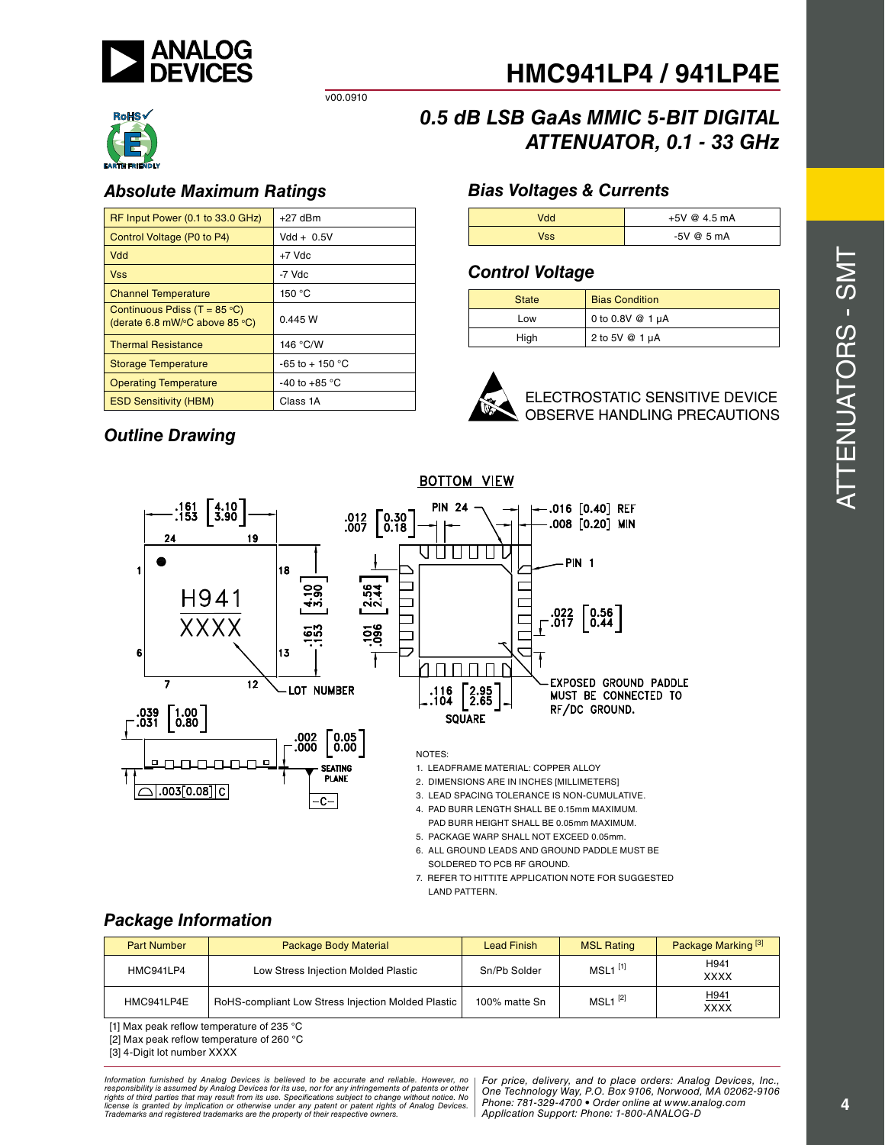



### *Absolute Maximum Ratings Bias Voltages & Currents*

| RF Input Power (0.1 to 33.0 GHz)                                                           | $+27$ dBm              |
|--------------------------------------------------------------------------------------------|------------------------|
| Control Voltage (P0 to P4)                                                                 | $Vdd + 0.5V$           |
| Vdd                                                                                        | $+7$ Vdc               |
| <b>Vss</b>                                                                                 | -7 Vdc                 |
| <b>Channel Temperature</b>                                                                 | 150 °C                 |
| Continuous Pdiss (T = $85^{\circ}$ C)<br>(derate 6.8 mW/ $\degree$ C above 85 $\degree$ C) | 0.445 W                |
| <b>Thermal Resistance</b>                                                                  | 146 °C/W               |
| <b>Storage Temperature</b>                                                                 | $-65$ to $+150$ °C     |
| <b>Operating Temperature</b>                                                               | -40 to +85 $\degree$ C |
| <b>ESD Sensitivity (HBM)</b>                                                               | Class 1A               |

v00.0910

# *0.5 dB LSB GaAs MMIC 5-BIT DIGITAL ATTENUATOR, 0.1 - 33 GHz*

| Vdd        | $+5V$ @ 4.5 mA |
|------------|----------------|
| <b>Vss</b> | $-5V$ @ 5 mA   |

### *Control Voltage*

| <b>State</b> | <b>Bias Condition</b> |
|--------------|-----------------------|
| Low          | 0 to 0.8V $@1 \mu A$  |
| High         | 2 to 5V $@$ 1 µA      |



ELECTROSTATIC SENSITIVE DEVICE OBSERVE HANDLING PRECAUTIONS

## *Outline Drawing*



- 5. PACKAGE WARP SHALL NOT EXCEED 0.05mm.
- 6. ALL GROUND LEADS AND GROUND PADDLE MUST BE SOLDERED TO PCB RF GROUND.
- 7. REFER TO HITTITE APPLICATION NOTE FOR SUGGESTED LAND PATTERN.

### *Package Information*

| <b>Part Number</b> | Package Body Material                              | <b>Lead Finish</b> | <b>MSL Rating</b>     | Package Marking <sup>[3]</sup> |
|--------------------|----------------------------------------------------|--------------------|-----------------------|--------------------------------|
| HMC941LP4          | Low Stress Injection Molded Plastic                | Sn/Pb Solder       | $MSL1$ <sup>[1]</sup> | H941<br><b>XXXX</b>            |
| HMC941LP4E         | RoHS-compliant Low Stress Injection Molded Plastic | 100% matte Sn      | $MSL1^{[2]}$          | H941<br><b>XXXX</b>            |

[1] Max peak reflow temperature of 235 °C

[2] Max peak reflow temperature of 260 °C

[3] 4-Digit lot number XXXX

*Formation iurnished by Analog Devices is believed to be accurate and reliable. However, no Hor price, delivery, and to place orders: Analog Devices, In<br>roonsibility is assumed by Analog Devices for its use, nor for any pressult from its use. Specifications subject to change without notice. No*<br>ation or otherwise under any patent or patent rights of Analog Devices Phone: 781-329-4700 • Order online at ww *e* the property of their respective owners. **Application Support: Phone: 1-8** Information furnished by Analog Devices is believed to be accurate and reliable. However, no<br>responsibility is assumed by Analog Devices for its use, nor for any infringements of patents or other<br>rights of third parties th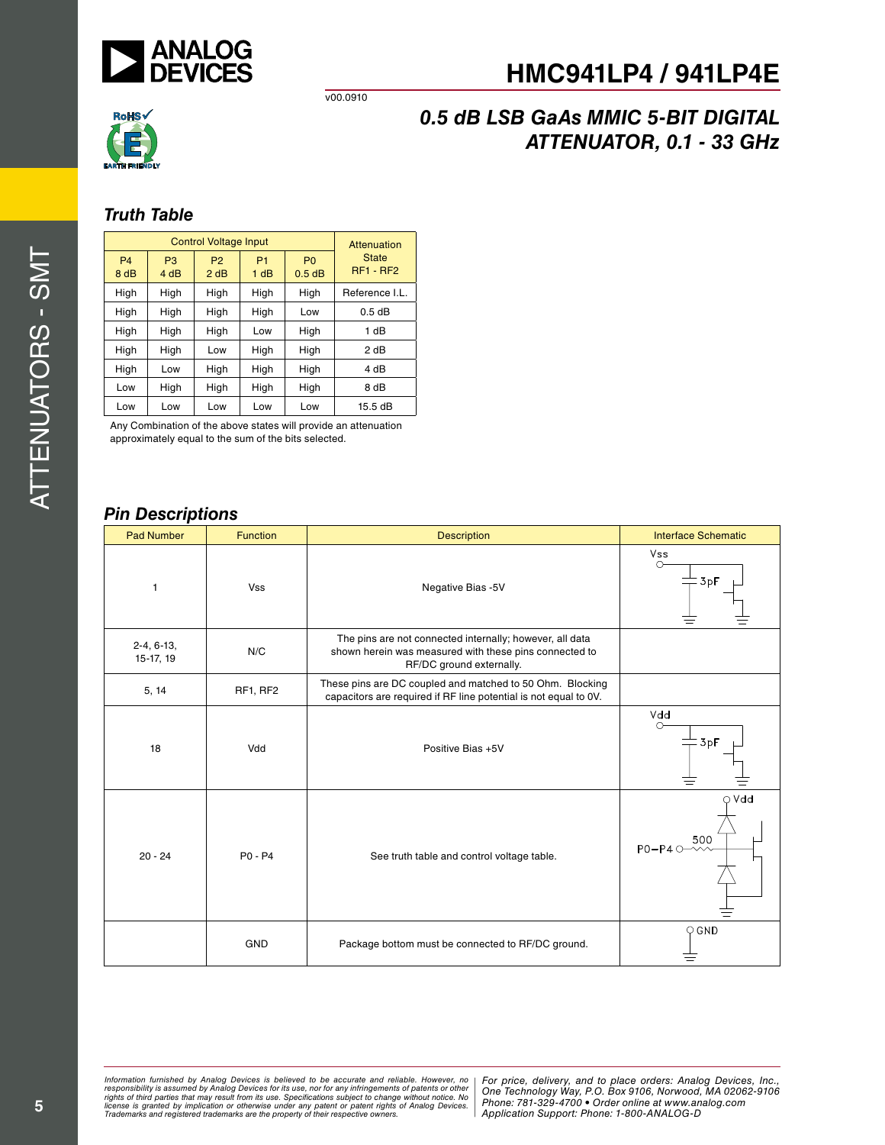

v00.0910



# *0.5 dB LSB GaAs MMIC 5-BIT DIGITAL ATTENUATOR, 0.1 - 33 GHz*

### *Truth Table*

| <b>Control Voltage Input</b> |                        |                        | Attenuation            |                          |                                  |  |
|------------------------------|------------------------|------------------------|------------------------|--------------------------|----------------------------------|--|
| <b>P4</b><br>8 dB            | P <sub>3</sub><br>4 dB | P <sub>2</sub><br>2 dB | P <sub>1</sub><br>1 dB | P <sub>0</sub><br>0.5 dB | <b>State</b><br><b>RF1 - RF2</b> |  |
| High                         | High                   | High                   | High                   | High                     | Reference I.L.                   |  |
| High                         | High                   | High                   | High                   | Low                      | 0.5dB                            |  |
| High                         | High                   | High                   | Low                    | High                     | 1 dB                             |  |
| High                         | High                   | Low                    | High                   | High                     | 2 dB                             |  |
| High                         | Low                    | High                   | High                   | High                     | 4 dB                             |  |
| Low                          | High                   | High                   | High                   | High                     | 8 dB                             |  |
| Low                          | Low                    | Low                    | Low                    | Low                      | 15.5 dB                          |  |

Any Combination of the above states will provide an attenuation approximately equal to the sum of the bits selected.

### *Pin Descriptions*

| <b>Pad Number</b>         | <b>Function</b> | <b>Description</b>                                                                                                                             | <b>Interface Schematic</b>                 |
|---------------------------|-----------------|------------------------------------------------------------------------------------------------------------------------------------------------|--------------------------------------------|
| $\overline{1}$            | <b>Vss</b>      | Negative Bias -5V                                                                                                                              | Vss<br>↷<br>$=$ 3pF                        |
| $2-4, 6-13,$<br>15-17, 19 | N/C             | The pins are not connected internally; however, all data<br>shown herein was measured with these pins connected to<br>RF/DC ground externally. |                                            |
| 5, 14                     | RF1, RF2        | These pins are DC coupled and matched to 50 Ohm. Blocking<br>capacitors are required if RF line potential is not equal to 0V.                  |                                            |
| 18                        | Vdd             | Positive Bias +5V                                                                                                                              | Vdd<br>ᠬ<br>$-3pF$                         |
| $20 - 24$                 | P0 - P4         | See truth table and control voltage table.                                                                                                     | $\circ$ Vdd<br>500<br>$PO-P4$ $O-\sqrt{2}$ |
|                           | <b>GND</b>      | Package bottom must be connected to RF/DC ground.                                                                                              | $\circ$ GND                                |

*Formation iurnished by Analog Devices is believed to be accurate and reliable. However, no Hor price, delivery, and to place orders: Analog Devices, In<br>roonsibility is assumed by Analog Devices for its use, nor for any pressult from its use. Specifications subject to change without notice. No*<br>ation or otherwise under any patent or patent rights of Analog Devices Phone: 781-329-4700 • Order online at ww *e* the property of their respective owners. **Application Support: Phone: 1-8** Information furnished by Analog Devices is believed to be accurate and reliable. However, no<br>responsibility is assumed by Analog Devices for its use, nor for any infringements of patents or other<br>rights of third parties th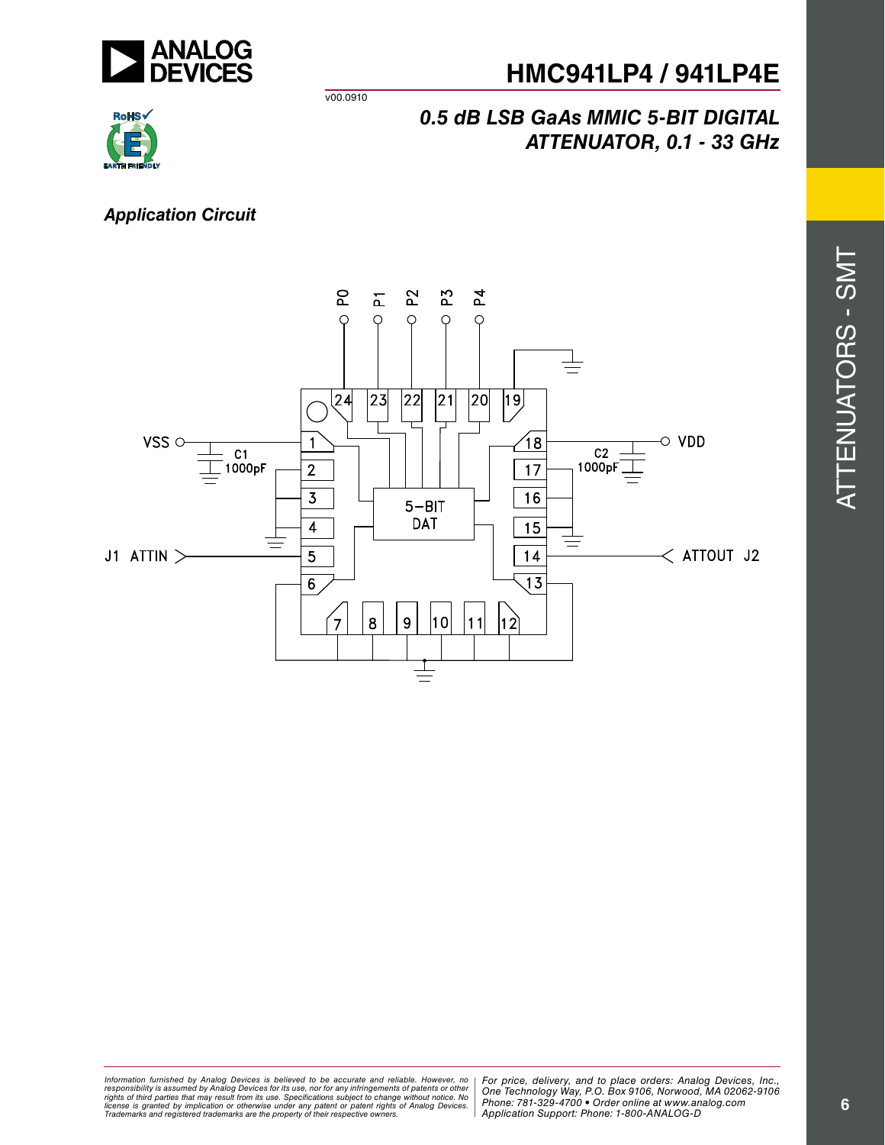

v00.0910



## *0.5 dB LSB GaAs MMIC 5-BIT DIGITAL ATTENUATOR, 0.1 - 33 GHz*

## *Application Circuit*



Attenu ators -  $\mathcal{O}$  $\geq$ 

 $\blacksquare$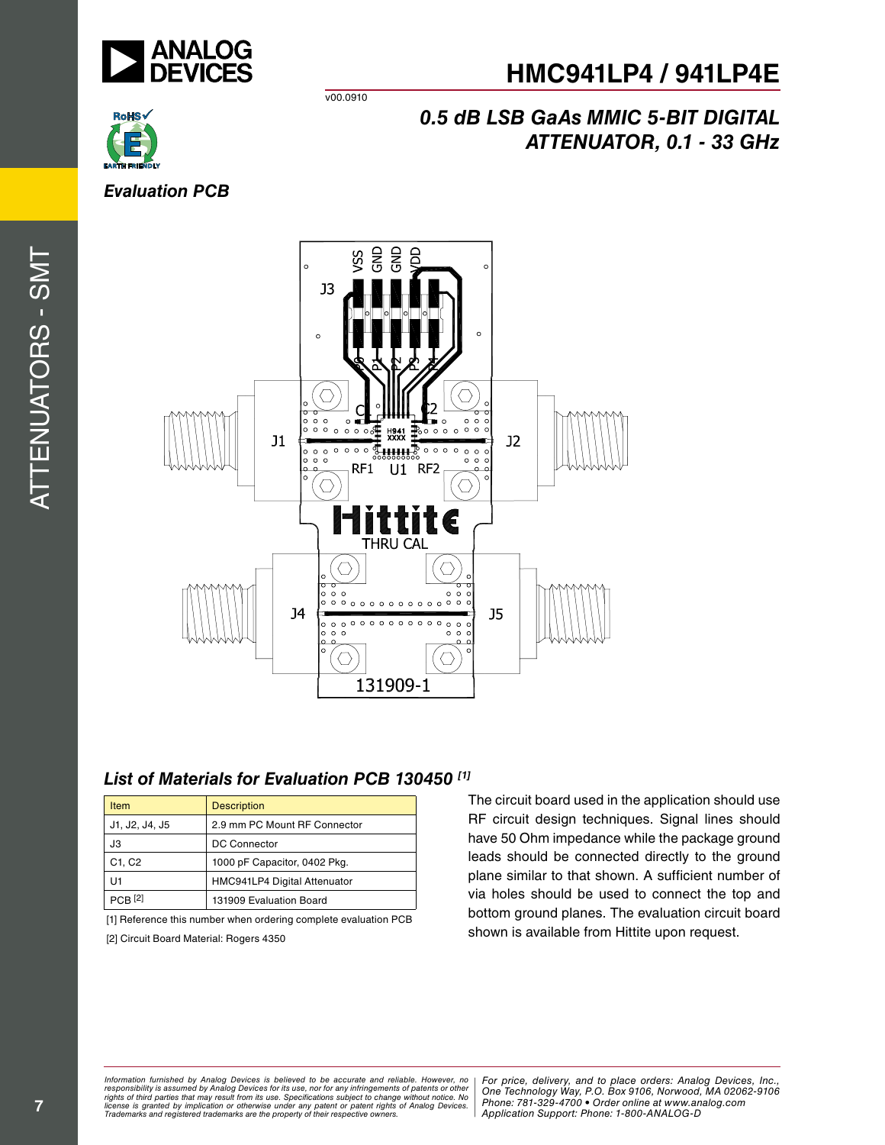



v00.0910

# *0.5 dB LSB GaAs MMIC 5-BIT DIGITAL ATTENUATOR, 0.1 - 33 GHz*

## *Evaluation PCB*

Attenu ators -  $\mathcal{O}$  $\geq$  $\blacksquare$ 



### *List of Materials for Evaluation PCB 130450 [1]*

| <b>Item</b>    | <b>Description</b>           |
|----------------|------------------------------|
| J1, J2, J4, J5 | 2.9 mm PC Mount RF Connector |
| JЗ             | <b>DC Connector</b>          |
| C1, C2         | 1000 pF Capacitor, 0402 Pkg. |
| U1             | HMC941LP4 Digital Attenuator |
| <b>PCB</b> [2] | 131909 Evaluation Board      |

[1] Reference this number when ordering complete evaluation PCB [2] Circuit Board Material: Rogers 4350

The circuit board used in the application should use RF circuit design techniques. Signal lines should have 50 Ohm impedance while the package ground leads should be connected directly to the ground plane similar to that shown. A sufficient number of via holes should be used to connect the top and bottom ground planes. The evaluation circuit board shown is available from Hittite upon request.

*Formation iurnished by Analog Devices is believed to be accurate and reliable. However, no Hor price, delivery, and to place orders: Analog Devices, In<br>roonsibility is assumed by Analog Devices for its use, nor for any pressult from its use. Specifications subject to change without notice. No*<br>ation or otherwise under any patent or patent rights of Analog Devices Phone: 781-329-4700 • Order online at ww *e* the property of their respective owners. **Application Support: Phone: 1-8** *Information furnished by Analog Devices is believed to be accurate and reliable. However, no*  responsibility is assumed by Analog Devices for its use, nor for any infringements of patents or other<br>rights of third parties that may result from its use. Specifications subject to change without notice. No<br>license is gr